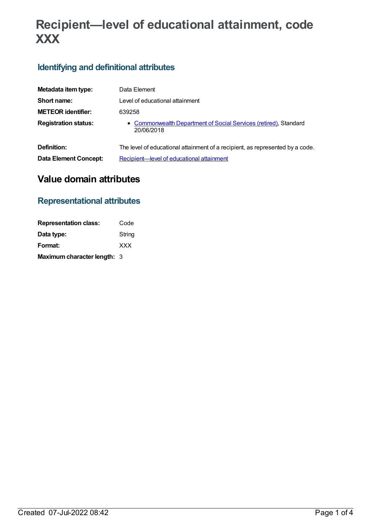# **Recipient—level of educational attainment, code XXX**

# **Identifying and definitional attributes**

| Metadata item type:          | Data Element                                                                   |
|------------------------------|--------------------------------------------------------------------------------|
| Short name:                  | Level of educational attainment                                                |
| <b>METEOR identifier:</b>    | 639258                                                                         |
| <b>Registration status:</b>  | • Commonwealth Department of Social Services (retired), Standard<br>20/06/2018 |
| Definition:                  | The level of educational attainment of a recipient, as represented by a code.  |
| <b>Data Element Concept:</b> | Recipient-level of educational attainment                                      |

# **Value domain attributes**

### **Representational attributes**

| <b>Representation class:</b> | Code       |
|------------------------------|------------|
| Data type:                   | String     |
| Format:                      | <b>XXX</b> |
| Maximum character length: 3  |            |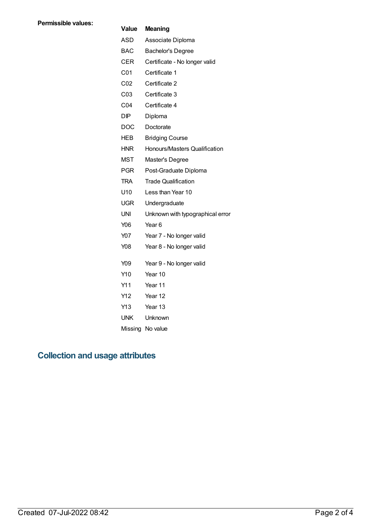#### **Value Meaning**

| ASD | Associate Diploma |
|-----|-------------------|
| BAC | Bachelor's Degree |

- CER Certificate No longer valid
- C01 Certificate 1
- C02 Certificate 2
- C03 Certificate 3
- C04 Certificate 4
- DIP Diploma
- DOC Doctorate
- HEB Bridging Course
- HNR Honours/Masters Qualification
- MST Master's Degree
- PGR Post-Graduate Diploma
- TRA Trade Qualification
- U10 Less than Year 10
- UGR Undergraduate
- UNI Unknown with typographical error
- Y06 Year 6
- Y07 Year 7 No longer valid
- Y08 Year 8 No longer valid
- Y09 Year 9 No longer valid
- Y10 Year 10
- Y11 Year 11
- Y12 Year 12
- Y13 Year 13
- UNK Unknown
- Missing No value

### **Collection and usage attributes**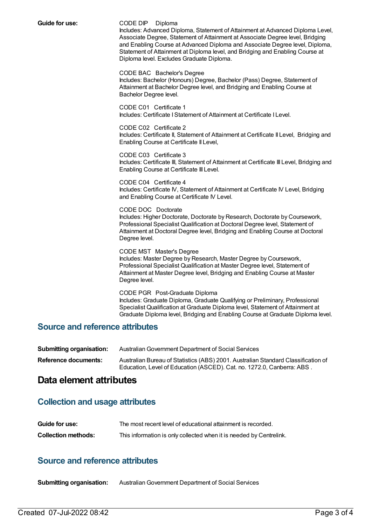#### **Guide for use:** CODE DIP Diploma

Includes: Advanced Diploma, Statement of Attainment at Advanced Diploma Level, Associate Degree, Statement of Attainment at Associate Degree level, Bridging and Enabling Course at Advanced Diploma and Associate Degree level, Diploma, Statement of Attainment at Diploma level, and Bridging and Enabling Course at Diploma level. Excludes Graduate Diploma.

CODE BAC Bachelor's Degree

Includes: Bachelor (Honours) Degree, Bachelor (Pass) Degree, Statement of Attainment at Bachelor Degree level, and Bridging and Enabling Course at Bachelor Degree level.

CODE C01 Certificate 1 Includes: Certificate IStatement of Attainment at Certificate I Level.

CODE C02 Certificate 2 Includes: Certificate II, Statement of Attainment at Certificate II Level, Bridging and Enabling Course at Certificate II Level,

CODE C03 Certificate 3 Includes: Certificate III, Statement of Attainment at Certificate III Level, Bridging and Enabling Course at Certificate III Level.

CODE C04 Certificate 4 Includes: Certificate IV, Statement of Attainment at Certificate IV Level, Bridging and Enabling Course at Certificate IV Level.

CODE DOC Doctorate Includes: Higher Doctorate, Doctorate by Research, Doctorate by Coursework, Professional Specialist Qualification at Doctoral Degree level, Statement of Attainment at Doctoral Degree level, Bridging and Enabling Course at Doctoral Degree level.

CODE MST Master's Degree Includes: Master Degree by Research, Master Degree by Coursework, Professional Specialist Qualification at Master Degree level, Statement of Attainment at Master Degree level, Bridging and Enabling Course at Master Degree level.

CODE PGR Post-Graduate Diploma Includes: Graduate Diploma, Graduate Qualifying or Preliminary, Professional Specialist Qualification at Graduate Diploma level, Statement of Attainment at Graduate Diploma level, Bridging and Enabling Course at Graduate Diploma level.

### **Source and reference attributes**

**Submitting organisation:** Australian Government Department of Social Services

**Reference documents:** Australian Bureau of Statistics (ABS) 2001. Australian Standard Classification of Education, Level of Education (ASCED). Cat. no. 1272.0, Canberra: ABS .

### **Data element attributes**

### **Collection and usage attributes**

| Guide for use:             | The most recent level of educational attainment is recorded.        |
|----------------------------|---------------------------------------------------------------------|
| <b>Collection methods:</b> | This information is only collected when it is needed by Centrelink. |

### **Source and reference attributes**

**Submitting organisation:** AustralianGovernment Department of Social Services